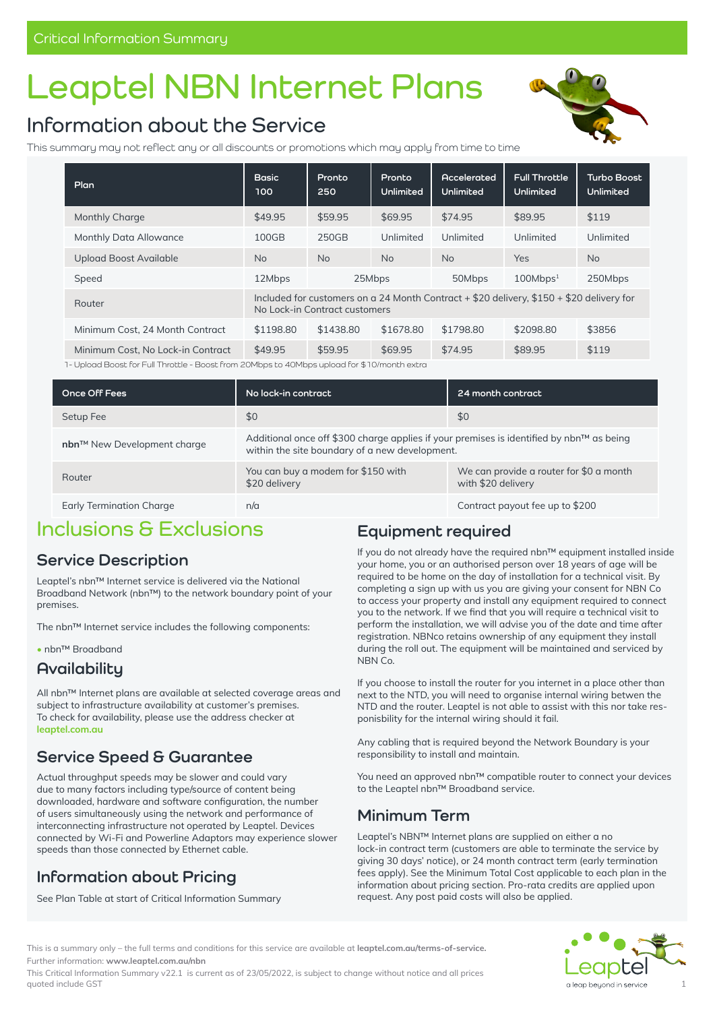# **Leaptel NBN Internet Plans**

# **Information about the Service**

This summary may not reflect any or all discounts or promotions which may apply from time to time



| Plan                              | <b>Basic</b><br>100                                                                                                       | Pronto<br>250 | Pronto<br>Unlimited | <b>Accelerated</b><br>Unlimited | <b>Full Throttle</b><br>Unlimited | <b>Turbo Boost</b><br>Unlimited |
|-----------------------------------|---------------------------------------------------------------------------------------------------------------------------|---------------|---------------------|---------------------------------|-----------------------------------|---------------------------------|
| <b>Monthly Charge</b>             | \$49.95                                                                                                                   | \$59.95       | \$69.95             | \$74.95                         | \$89.95                           | \$119                           |
| Monthly Data Allowance            | 100GB                                                                                                                     | 250GB         | Unlimited           | Unlimited                       | Unlimited                         | Unlimited                       |
| <b>Upload Boost Available</b>     | <b>No</b>                                                                                                                 | <b>No</b>     | <b>No</b>           | <b>No</b>                       | <b>Yes</b>                        | <b>No</b>                       |
| Speed                             | 12Mbps                                                                                                                    |               | 25Mbps              | 50Mbps                          | 100Mbps <sup>1</sup>              | 250Mbps                         |
| Router                            | Included for customers on a 24 Month Contract + \$20 delivery, \$150 + \$20 delivery for<br>No Lock-in Contract customers |               |                     |                                 |                                   |                                 |
| Minimum Cost. 24 Month Contract   | \$1198.80                                                                                                                 | \$1438.80     | \$1678.80           | \$1798.80                       | \$2098.80                         | \$3856                          |
| Minimum Cost. No Lock-in Contract | \$49.95                                                                                                                   | \$59.95       | \$69.95             | \$74.95                         | \$89.95                           | \$119                           |

1- Upload Boost for Full Throttle - Boost from 20Mbps to 40Mbps upload for \$10/month extra

| Once Off Fees               | No lock-in contract                                                                                                                        | 24 month contract                                             |  |  |  |
|-----------------------------|--------------------------------------------------------------------------------------------------------------------------------------------|---------------------------------------------------------------|--|--|--|
| Setup Fee                   | \$0                                                                                                                                        | \$0                                                           |  |  |  |
| nbn™ New Development charge | Additional once off \$300 charge applies if your premises is identified by nbn™ as being<br>within the site boundary of a new development. |                                                               |  |  |  |
| Router                      | You can buy a modem for \$150 with<br>\$20 delivery                                                                                        | We can provide a router for \$0 a month<br>with \$20 delivery |  |  |  |
| Early Termination Charge    | n/a                                                                                                                                        | Contract payout fee up to \$200                               |  |  |  |

## **Inclusions & Exclusions**

#### **Service Description**

Leaptel's nbn™ Internet service is delivered via the National Broadband Network (nbn™) to the network boundary point of your premises.

The nbn™ Internet service includes the following components:

**•** nbn™ Broadband

#### **Availability**

All nbn™ Internet plans are available at selected coverage areas and subject to infrastructure availability at customer's premises. To check for availability, please use the address checker at **leaptel.com.au**

#### **Service Speed & Guarantee**

Actual throughput speeds may be slower and could vary due to many factors including type/source of content being downloaded, hardware and software configuration, the number of users simultaneously using the network and performance of interconnecting infrastructure not operated by Leaptel. Devices connected by Wi-Fi and Powerline Adaptors may experience slower speeds than those connected by Ethernet cable.

## **Information about Pricing**

See Plan Table at start of Critical Information Summary

#### **Equipment required**

If you do not already have the required nbn™ equipment installed inside your home, you or an authorised person over 18 years of age will be required to be home on the day of installation for a technical visit. By completing a sign up with us you are giving your consent for NBN Co to access your property and install any equipment required to connect you to the network. If we find that you will require a technical visit to perform the installation, we will advise you of the date and time after registration. NBNco retains ownership of any equipment they install during the roll out. The equipment will be maintained and serviced by NBN Co.

If you choose to install the router for you internet in a place other than next to the NTD, you will need to organise internal wiring betwen the NTD and the router. Leaptel is not able to assist with this nor take responisbility for the internal wiring should it fail.

Any cabling that is required beyond the Network Boundary is your responsibility to install and maintain.

You need an approved nbn™ compatible router to connect your devices to the Leaptel nbn™ Broadband service.

#### **Minimum Term**

Leaptel's NBN™ Internet plans are supplied on either a no lock-in contract term (customers are able to terminate the service by giving 30 days' notice), or 24 month contract term (early termination fees apply). See the Minimum Total Cost applicable to each plan in the information about pricing section. Pro-rata credits are applied upon request. Any post paid costs will also be applied.



This is a summary only – the full terms and conditions for this service are available at **[leaptel.com.au/](http://leaptel.com.au/legal)terms-of-service.** Further information: **[www.leaptel.com.au/n](http://leaptel.com.au/nbn)bn** 

This Critical Information Summary v22.1 is current as of 23/05/2022, is subject to change without notice and all prices quoted include GST